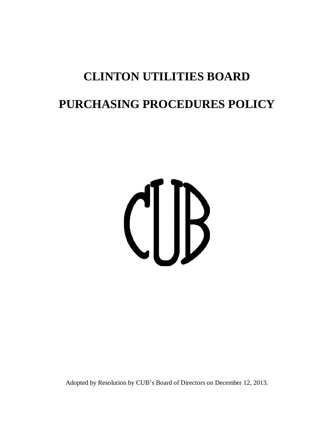# **CLINTON UTILITIES BOARD PURCHASING PROCEDURES POLICY**

# CUB

Adopted by Resolution by CUB's Board of Directors on December 12, 2013.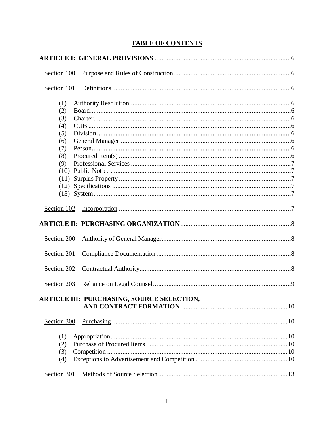# **TABLE OF CONTENTS**

| Section 100 |                                                   |
|-------------|---------------------------------------------------|
| Section 101 |                                                   |
| (1)         |                                                   |
| (2)         |                                                   |
| (3)         |                                                   |
| (4)         |                                                   |
| (5)         |                                                   |
| (6)         |                                                   |
| (7)         |                                                   |
| (8)         |                                                   |
| (9)         |                                                   |
| (10)        |                                                   |
| (11)        |                                                   |
|             |                                                   |
|             |                                                   |
| Section 102 |                                                   |
|             |                                                   |
| Section 200 |                                                   |
| Section 201 |                                                   |
| Section 202 |                                                   |
| Section 203 |                                                   |
|             | <b>ARTICLE III: PURCHASING, SOURCE SELECTION,</b> |
| Section 300 |                                                   |
| (1)         |                                                   |
| (2)         |                                                   |
| (3)         |                                                   |
| (4)         |                                                   |
| Section 301 |                                                   |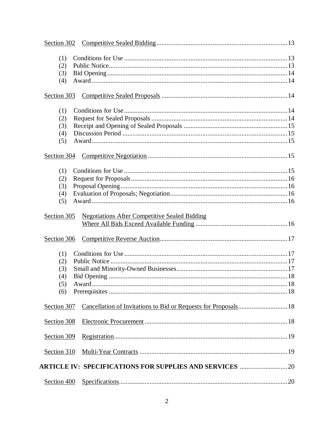| (1)         |                                                                 |  |
|-------------|-----------------------------------------------------------------|--|
| (2)         |                                                                 |  |
| (3)         |                                                                 |  |
| (4)         |                                                                 |  |
| Section 303 |                                                                 |  |
| (1)         |                                                                 |  |
| (2)         |                                                                 |  |
| (3)         |                                                                 |  |
| (4)         |                                                                 |  |
| (5)         |                                                                 |  |
| Section 304 |                                                                 |  |
| (1)         |                                                                 |  |
| (2)         |                                                                 |  |
| (3)         |                                                                 |  |
| (4)         |                                                                 |  |
| (5)         |                                                                 |  |
| Section 305 | <b>Negotiations After Competitive Sealed Bidding</b>            |  |
|             |                                                                 |  |
| Section 306 |                                                                 |  |
| (1)         |                                                                 |  |
| (2)         |                                                                 |  |
| (3)         |                                                                 |  |
| (4)         |                                                                 |  |
| (5)         |                                                                 |  |
| (6)         |                                                                 |  |
| Section 307 | Cancellation of Invitations to Bid or Requests for Proposals 18 |  |
| Section 308 |                                                                 |  |
| Section 309 |                                                                 |  |
| Section 310 |                                                                 |  |
|             | <b>ARTICLE IV: SPECIFICATIONS FOR SUPPLIES AND SERVICES 20</b>  |  |
|             |                                                                 |  |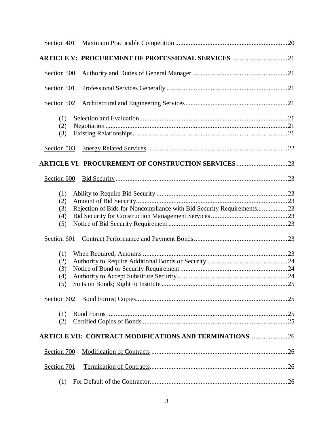| Section 401 |                                                                      |  |
|-------------|----------------------------------------------------------------------|--|
|             | <b>ARTICLE V: PROCUREMENT OF PROFESSIONAL SERVICES 21</b>            |  |
| Section 500 |                                                                      |  |
| Section 501 |                                                                      |  |
| Section 502 |                                                                      |  |
| (1)         |                                                                      |  |
| (2)<br>(3)  |                                                                      |  |
| Section 503 |                                                                      |  |
|             |                                                                      |  |
| Section 600 |                                                                      |  |
| (1)         |                                                                      |  |
| (2)         |                                                                      |  |
| (3)         | Rejection of Bids for Noncompliance with Bid Security Requirements23 |  |
| (4)         |                                                                      |  |
| (5)         |                                                                      |  |
| Section 601 |                                                                      |  |
|             |                                                                      |  |
| (1)<br>(2)  |                                                                      |  |
| (3)         |                                                                      |  |
| (4)         |                                                                      |  |
|             |                                                                      |  |
|             |                                                                      |  |
| Section 602 |                                                                      |  |
| (1)         |                                                                      |  |
| (2)         |                                                                      |  |
|             | <b>ARTICLE VII: CONTRACT MODIFICATIONS AND TERMINATIONS  26</b>      |  |
|             |                                                                      |  |
| Section 700 |                                                                      |  |
| Section 701 |                                                                      |  |
| (1)         |                                                                      |  |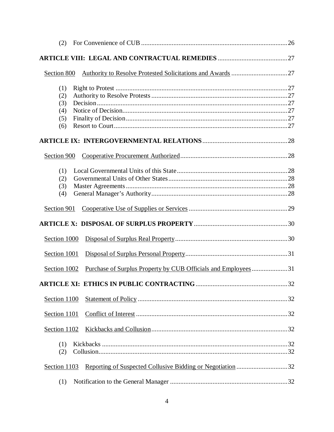| (2)                                    |                                                                       |  |
|----------------------------------------|-----------------------------------------------------------------------|--|
|                                        |                                                                       |  |
| Section 800                            |                                                                       |  |
| (1)<br>(2)<br>(3)<br>(4)<br>(5)<br>(6) |                                                                       |  |
|                                        |                                                                       |  |
| Section 900                            |                                                                       |  |
| (1)<br>(2)<br>(3)<br>(4)               |                                                                       |  |
| Section 901                            |                                                                       |  |
|                                        |                                                                       |  |
| Section 1000                           |                                                                       |  |
| Section 1001                           |                                                                       |  |
| Section 1002                           | <u>Purchase of Surplus Property by CUB Officials and Employees</u> 31 |  |
|                                        |                                                                       |  |
| Section 1100                           |                                                                       |  |
| Section 1101                           |                                                                       |  |
| Section 1102                           |                                                                       |  |
| (1)<br>(2)                             |                                                                       |  |
| Section 1103                           |                                                                       |  |
| (1)                                    |                                                                       |  |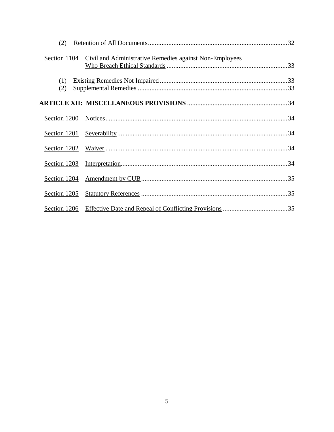| (2)          |                                                         |  |
|--------------|---------------------------------------------------------|--|
| Section 1104 | Civil and Administrative Remedies against Non-Employees |  |
| (1)<br>(2)   |                                                         |  |
|              |                                                         |  |
|              |                                                         |  |
| Section 1201 |                                                         |  |
|              |                                                         |  |
|              |                                                         |  |
| Section 1204 |                                                         |  |
| Section 1205 |                                                         |  |
| Section 1206 |                                                         |  |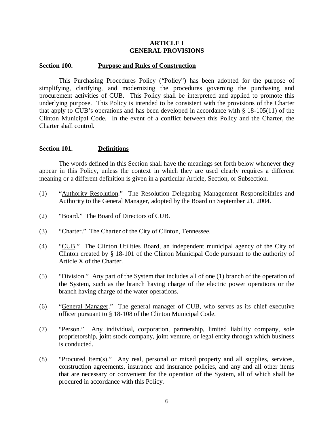#### **ARTICLE I GENERAL PROVISIONS**

#### **Section 100. Purpose and Rules of Construction**

This Purchasing Procedures Policy ("Policy") has been adopted for the purpose of simplifying, clarifying, and modernizing the procedures governing the purchasing and procurement activities of CUB. This Policy shall be interpreted and applied to promote this underlying purpose. This Policy is intended to be consistent with the provisions of the Charter that apply to CUB's operations and has been developed in accordance with § 18-105(11) of the Clinton Municipal Code. In the event of a conflict between this Policy and the Charter, the Charter shall control.

#### **Section 101. Definitions**

The words defined in this Section shall have the meanings set forth below whenever they appear in this Policy, unless the context in which they are used clearly requires a different meaning or a different definition is given in a particular Article, Section, or Subsection.

- (1) "Authority Resolution." The Resolution Delegating Management Responsibilities and Authority to the General Manager, adopted by the Board on September 21, 2004.
- (2) "Board." The Board of Directors of CUB.
- (3) "Charter." The Charter of the City of Clinton, Tennessee.
- (4) "CUB." The Clinton Utilities Board, an independent municipal agency of the City of Clinton created by § 18-101 of the Clinton Municipal Code pursuant to the authority of Article X of the Charter.
- (5) "Division." Any part of the System that includes all of one (1) branch of the operation of the System, such as the branch having charge of the electric power operations or the branch having charge of the water operations.
- (6) "General Manager." The general manager of CUB, who serves as its chief executive officer pursuant to § 18-108 of the Clinton Municipal Code.
- (7) "Person." Any individual, corporation, partnership, limited liability company, sole proprietorship, joint stock company, joint venture, or legal entity through which business is conducted.
- (8) "Procured Item(s)." Any real, personal or mixed property and all supplies, services, construction agreements, insurance and insurance policies, and any and all other items that are necessary or convenient for the operation of the System, all of which shall be procured in accordance with this Policy.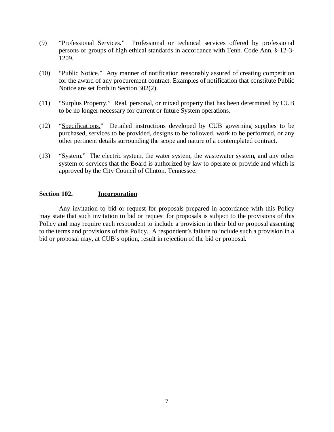- (9) "Professional Services." Professional or technical services offered by professional persons or groups of high ethical standards in accordance with Tenn. Code Ann. § 12-3- 1209.
- (10) "Public Notice." Any manner of notification reasonably assured of creating competition for the award of any procurement contract. Examples of notification that constitute Public Notice are set forth in Section 302(2).
- (11) "Surplus Property." Real, personal, or mixed property that has been determined by CUB to be no longer necessary for current or future System operations.
- (12) "Specifications." Detailed instructions developed by CUB governing supplies to be purchased, services to be provided, designs to be followed, work to be performed, or any other pertinent details surrounding the scope and nature of a contemplated contract.
- (13) "System." The electric system, the water system, the wastewater system, and any other system or services that the Board is authorized by law to operate or provide and which is approved by the City Council of Clinton, Tennessee.

# **Section 102. Incorporation**

Any invitation to bid or request for proposals prepared in accordance with this Policy may state that such invitation to bid or request for proposals is subject to the provisions of this Policy and may require each respondent to include a provision in their bid or proposal assenting to the terms and provisions of this Policy. A respondent's failure to include such a provision in a bid or proposal may, at CUB's option, result in rejection of the bid or proposal.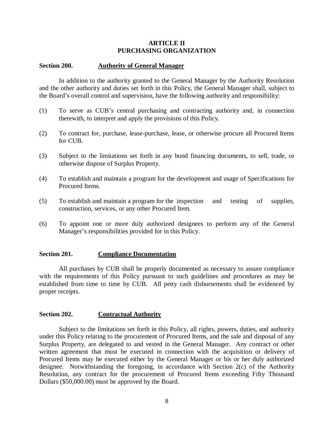#### **ARTICLE II PURCHASING ORGANIZATION**

#### **Section 200. Authority of General Manager**

In addition to the authority granted to the General Manager by the Authority Resolution and the other authority and duties set forth in this Policy, the General Manager shall, subject to the Board's overall control and supervision, have the following authority and responsibility:

- (1) To serve as CUB's central purchasing and contracting authority and, in connection therewith, to interpret and apply the provisions of this Policy.
- (2) To contract for, purchase, lease-purchase, lease, or otherwise procure all Procured Items for CUB.
- (3) Subject to the limitations set forth in any bond financing documents, to sell, trade, or otherwise dispose of Surplus Property.
- (4) To establish and maintain a program for the development and usage of Specifications for Procured Items.
- (5) To establish and maintain a program for the inspection and testing of supplies, construction, services, or any other Procured Item.
- (6) To appoint one or more duly authorized designees to perform any of the General Manager's responsibilities provided for in this Policy.

#### **Section 201. Compliance Documentation**

All purchases by CUB shall be properly documented as necessary to assure compliance with the requirements of this Policy pursuant to such guidelines and procedures as may be established from time to time by CUB. All petty cash disbursements shall be evidenced by proper receipts.

#### **Section 202. Contractual Authority**

Subject to the limitations set forth in this Policy, all rights, powers, duties, and authority under this Policy relating to the procurement of Procured Items, and the sale and disposal of any Surplus Property, are delegated to and vested in the General Manager. Any contract or other written agreement that must be executed in connection with the acquisition or delivery of Procured Items may be executed either by the General Manager or his or her duly authorized designee. Notwithstanding the foregoing, in accordance with Section 2(c) of the Authority Resolution, any contract for the procurement of Procured Items exceeding Fifty Thousand Dollars (\$50,000.00) must be approved by the Board.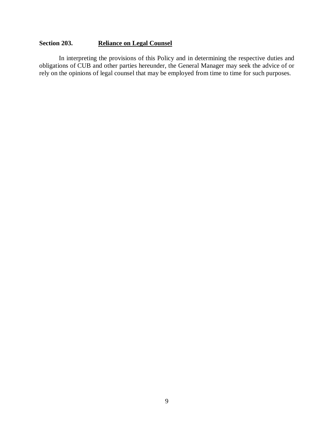# **Section 203. Reliance on Legal Counsel**

In interpreting the provisions of this Policy and in determining the respective duties and obligations of CUB and other parties hereunder, the General Manager may seek the advice of or rely on the opinions of legal counsel that may be employed from time to time for such purposes.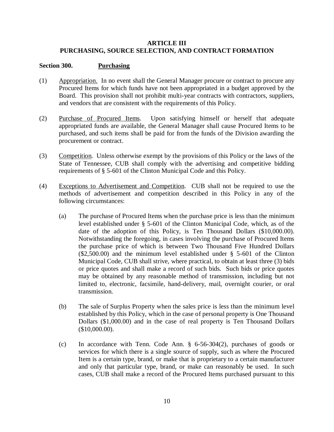# **ARTICLE III PURCHASING, SOURCE SELECTION, AND CONTRACT FORMATION**

# **Section 300. Purchasing**

- (1) Appropriation. In no event shall the General Manager procure or contract to procure any Procured Items for which funds have not been appropriated in a budget approved by the Board. This provision shall not prohibit multi-year contracts with contractors, suppliers, and vendors that are consistent with the requirements of this Policy.
- (2) Purchase of Procured Items. Upon satisfying himself or herself that adequate appropriated funds are available, the General Manager shall cause Procured Items to be purchased, and such items shall be paid for from the funds of the Division awarding the procurement or contract.
- (3) Competition. Unless otherwise exempt by the provisions of this Policy or the laws of the State of Tennessee, CUB shall comply with the advertising and competitive bidding requirements of § 5-601 of the Clinton Municipal Code and this Policy.
- (4) Exceptions to Advertisement and Competition. CUB shall not be required to use the methods of advertisement and competition described in this Policy in any of the following circumstances:
	- (a) The purchase of Procured Items when the purchase price is less than the minimum level established under § 5-601 of the Clinton Municipal Code, which, as of the date of the adoption of this Policy, is Ten Thousand Dollars (\$10,000.00). Notwithstanding the foregoing, in cases involving the purchase of Procured Items the purchase price of which is between Two Thousand Five Hundred Dollars (\$2,500.00) and the minimum level established under § 5-601 of the Clinton Municipal Code, CUB shall strive, where practical, to obtain at least three (3) bids or price quotes and shall make a record of such bids. Such bids or price quotes may be obtained by any reasonable method of transmission, including but not limited to, electronic, facsimile, hand-delivery, mail, overnight courier, or oral transmission.
	- (b) The sale of Surplus Property when the sales price is less than the minimum level established by this Policy, which in the case of personal property is One Thousand Dollars (\$1,000.00) and in the case of real property is Ten Thousand Dollars (\$10,000.00).
	- (c) In accordance with Tenn. Code Ann. § 6-56-304(2), purchases of goods or services for which there is a single source of supply, such as where the Procured Item is a certain type, brand, or make that is proprietary to a certain manufacturer and only that particular type, brand, or make can reasonably be used. In such cases, CUB shall make a record of the Procured Items purchased pursuant to this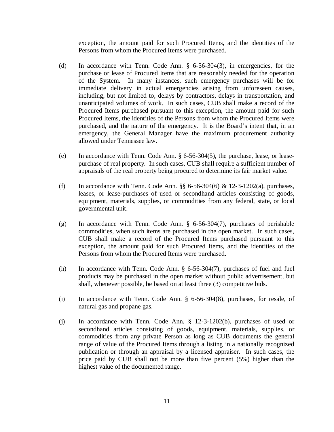exception, the amount paid for such Procured Items, and the identities of the Persons from whom the Procured Items were purchased.

- (d) In accordance with Tenn. Code Ann. § 6-56-304(3), in emergencies, for the purchase or lease of Procured Items that are reasonably needed for the operation of the System. In many instances, such emergency purchases will be for immediate delivery in actual emergencies arising from unforeseen causes, including, but not limited to, delays by contractors, delays in transportation, and unanticipated volumes of work. In such cases, CUB shall make a record of the Procured Items purchased pursuant to this exception, the amount paid for such Procured Items, the identities of the Persons from whom the Procured Items were purchased, and the nature of the emergency. It is the Board's intent that, in an emergency, the General Manager have the maximum procurement authority allowed under Tennessee law.
- (e) In accordance with Tenn. Code Ann. § 6-56-304(5), the purchase, lease, or leasepurchase of real property. In such cases, CUB shall require a sufficient number of appraisals of the real property being procured to determine its fair market value.
- (f) In accordance with Tenn. Code Ann.  $\S$ § 6-56-304(6) & 12-3-1202(a), purchases, leases, or lease-purchases of used or secondhand articles consisting of goods, equipment, materials, supplies, or commodities from any federal, state, or local governmental unit.
- (g) In accordance with Tenn. Code Ann. § 6-56-304(7), purchases of perishable commodities, when such items are purchased in the open market. In such cases, CUB shall make a record of the Procured Items purchased pursuant to this exception, the amount paid for such Procured Items, and the identities of the Persons from whom the Procured Items were purchased.
- (h) In accordance with Tenn. Code Ann. § 6-56-304(7), purchases of fuel and fuel products may be purchased in the open market without public advertisement, but shall, whenever possible, be based on at least three (3) competitive bids.
- (i) In accordance with Tenn. Code Ann. § 6-56-304(8), purchases, for resale, of natural gas and propane gas.
- (j) In accordance with Tenn. Code Ann. § 12-3-1202(b), purchases of used or secondhand articles consisting of goods, equipment, materials, supplies, or commodities from any private Person as long as CUB documents the general range of value of the Procured Items through a listing in a nationally recognized publication or through an appraisal by a licensed appraiser. In such cases, the price paid by CUB shall not be more than five percent (5%) higher than the highest value of the documented range.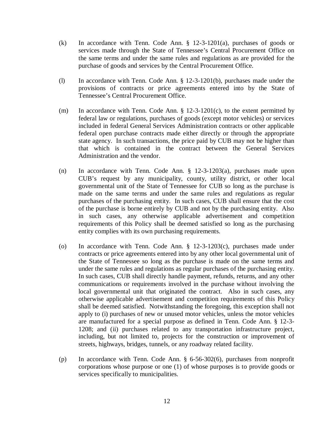- (k) In accordance with Tenn. Code Ann. § 12-3-1201(a), purchases of goods or services made through the State of Tennessee's Central Procurement Office on the same terms and under the same rules and regulations as are provided for the purchase of goods and services by the Central Procurement Office.
- (l) In accordance with Tenn. Code Ann. § 12-3-1201(b), purchases made under the provisions of contracts or price agreements entered into by the State of Tennessee's Central Procurement Office.
- (m) In accordance with Tenn. Code Ann.  $\S$  12-3-1201(c), to the extent permitted by federal law or regulations, purchases of goods (except motor vehicles) or services included in federal General Services Administration contracts or other applicable federal open purchase contracts made either directly or through the appropriate state agency. In such transactions, the price paid by CUB may not be higher than that which is contained in the contract between the General Services Administration and the vendor.
- (n) In accordance with Tenn. Code Ann. § 12-3-1203(a), purchases made upon CUB's request by any municipality, county, utility district, or other local governmental unit of the State of Tennessee for CUB so long as the purchase is made on the same terms and under the same rules and regulations as regular purchases of the purchasing entity. In such cases, CUB shall ensure that the cost of the purchase is borne entirely by CUB and not by the purchasing entity. Also in such cases, any otherwise applicable advertisement and competition requirements of this Policy shall be deemed satisfied so long as the purchasing entity complies with its own purchasing requirements.
- (o) In accordance with Tenn. Code Ann. § 12-3-1203(c), purchases made under contracts or price agreements entered into by any other local governmental unit of the State of Tennessee so long as the purchase is made on the same terms and under the same rules and regulations as regular purchases of the purchasing entity. In such cases, CUB shall directly handle payment, refunds, returns, and any other communications or requirements involved in the purchase without involving the local governmental unit that originated the contract. Also in such cases, any otherwise applicable advertisement and competition requirements of this Policy shall be deemed satisfied. Notwithstanding the foregoing, this exception shall not apply to (i) purchases of new or unused motor vehicles, unless the motor vehicles are manufactured for a special purpose as defined in Tenn. Code Ann. § 12-3- 1208; and (ii) purchases related to any transportation infrastructure project, including, but not limited to, projects for the construction or improvement of streets, highways, bridges, tunnels, or any roadway related facility.
- (p) In accordance with Tenn. Code Ann. § 6-56-302(6), purchases from nonprofit corporations whose purpose or one (1) of whose purposes is to provide goods or services specifically to municipalities.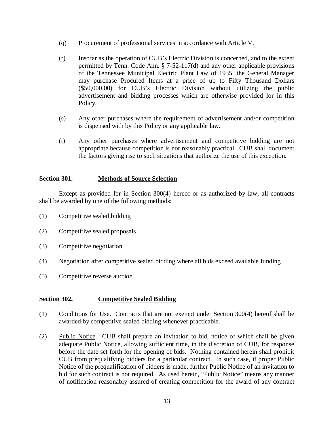- (q) Procurement of professional services in accordance with Article V.
- (r) Insofar as the operation of CUB's Electric Division is concerned, and to the extent permitted by Tenn. Code Ann. § 7-52-117(d) and any other applicable provisions of the Tennessee Municipal Electric Plant Law of 1935, the General Manager may purchase Procured Items at a price of up to Fifty Thousand Dollars (\$50,000.00) for CUB's Electric Division without utilizing the public advertisement and bidding processes which are otherwise provided for in this Policy.
- (s) Any other purchases where the requirement of advertisement and/or competition is dispensed with by this Policy or any applicable law.
- (t) Any other purchases where advertisement and competitive bidding are not appropriate because competition is not reasonably practical. CUB shall document the factors giving rise to such situations that authorize the use of this exception.

# **Section 301. Methods of Source Selection**

Except as provided for in Section 300(4) hereof or as authorized by law, all contracts shall be awarded by one of the following methods:

- (1) Competitive sealed bidding
- (2) Competitive sealed proposals
- (3) Competitive negotiation
- (4) Negotiation after competitive sealed bidding where all bids exceed available funding
- (5) Competitive reverse auction

# **Section 302. Competitive Sealed Bidding**

- (1) Conditions for Use. Contracts that are not exempt under Section 300(4) hereof shall be awarded by competitive sealed bidding whenever practicable.
- (2) Public Notice. CUB shall prepare an invitation to bid, notice of which shall be given adequate Public Notice, allowing sufficient time, in the discretion of CUB, for response before the date set forth for the opening of bids. Nothing contained herein shall prohibit CUB from prequalifying bidders for a particular contract. In such case, if proper Public Notice of the prequalification of bidders is made, further Public Notice of an invitation to bid for such contract is not required. As used herein, "Public Notice" means any manner of notification reasonably assured of creating competition for the award of any contract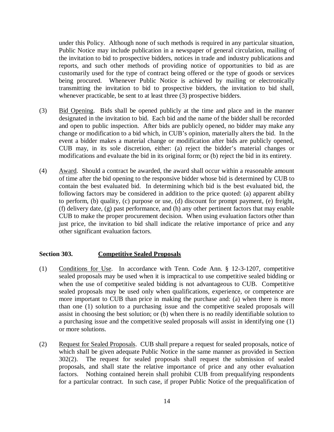under this Policy. Although none of such methods is required in any particular situation, Public Notice may include publication in a newspaper of general circulation, mailing of the invitation to bid to prospective bidders, notices in trade and industry publications and reports, and such other methods of providing notice of opportunities to bid as are customarily used for the type of contract being offered or the type of goods or services being procured. Whenever Public Notice is achieved by mailing or electronically transmitting the invitation to bid to prospective bidders, the invitation to bid shall, whenever practicable, be sent to at least three (3) prospective bidders.

- (3) Bid Opening. Bids shall be opened publicly at the time and place and in the manner designated in the invitation to bid. Each bid and the name of the bidder shall be recorded and open to public inspection. After bids are publicly opened, no bidder may make any change or modification to a bid which, in CUB's opinion, materially alters the bid. In the event a bidder makes a material change or modification after bids are publicly opened, CUB may, in its sole discretion, either: (a) reject the bidder's material changes or modifications and evaluate the bid in its original form; or (b) reject the bid in its entirety.
- (4) Award. Should a contract be awarded, the award shall occur within a reasonable amount of time after the bid opening to the responsive bidder whose bid is determined by CUB to contain the best evaluated bid. In determining which bid is the best evaluated bid, the following factors may be considered in addition to the price quoted: (a) apparent ability to perform, (b) quality, (c) purpose or use, (d) discount for prompt payment, (e) freight, (f) delivery date, (g) past performance, and (h) any other pertinent factors that may enable CUB to make the proper procurement decision. When using evaluation factors other than just price, the invitation to bid shall indicate the relative importance of price and any other significant evaluation factors.

# **Section 303. Competitive Sealed Proposals**

- (1) Conditions for Use. In accordance with Tenn. Code Ann. § 12-3-1207, competitive sealed proposals may be used when it is impractical to use competitive sealed bidding or when the use of competitive sealed bidding is not advantageous to CUB. Competitive sealed proposals may be used only when qualifications, experience, or competence are more important to CUB than price in making the purchase and: (a) when there is more than one (1) solution to a purchasing issue and the competitive sealed proposals will assist in choosing the best solution; or (b) when there is no readily identifiable solution to a purchasing issue and the competitive sealed proposals will assist in identifying one (1) or more solutions.
- (2) Request for Sealed Proposals. CUB shall prepare a request for sealed proposals, notice of which shall be given adequate Public Notice in the same manner as provided in Section 302(2). The request for sealed proposals shall request the submission of sealed proposals, and shall state the relative importance of price and any other evaluation factors. Nothing contained herein shall prohibit CUB from prequalifying respondents for a particular contract. In such case, if proper Public Notice of the prequalification of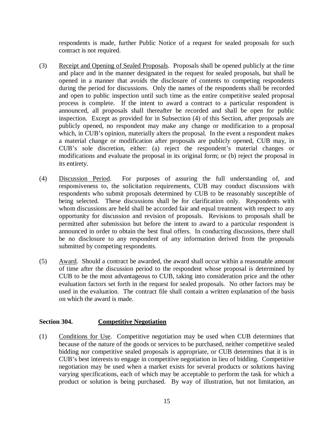respondents is made, further Public Notice of a request for sealed proposals for such contract is not required.

- (3) Receipt and Opening of Sealed Proposals. Proposals shall be opened publicly at the time and place and in the manner designated in the request for sealed proposals, but shall be opened in a manner that avoids the disclosure of contents to competing respondents during the period for discussions. Only the names of the respondents shall be recorded and open to public inspection until such time as the entire competitive sealed proposal process is complete. If the intent to award a contract to a particular respondent is announced, all proposals shall thereafter be recorded and shall be open for public inspection. Except as provided for in Subsection (4) of this Section, after proposals are publicly opened, no respondent may make any change or modification to a proposal which, in CUB's opinion, materially alters the proposal. In the event a respondent makes a material change or modification after proposals are publicly opened, CUB may, in CUB's sole discretion, either: (a) reject the respondent's material changes or modifications and evaluate the proposal in its original form; or (b) reject the proposal in its entirety.
- (4) Discussion Period. For purposes of assuring the full understanding of, and responsiveness to, the solicitation requirements, CUB may conduct discussions with respondents who submit proposals determined by CUB to be reasonably susceptible of being selected. These discussions shall be for clarification only. Respondents with whom discussions are held shall be accorded fair and equal treatment with respect to any opportunity for discussion and revision of proposals. Revisions to proposals shall be permitted after submission but before the intent to award to a particular respondent is announced in order to obtain the best final offers. In conducting discussions, there shall be no disclosure to any respondent of any information derived from the proposals submitted by competing respondents.
- (5) Award. Should a contract be awarded, the award shall occur within a reasonable amount of time after the discussion period to the respondent whose proposal is determined by CUB to be the most advantageous to CUB, taking into consideration price and the other evaluation factors set forth in the request for sealed proposals. No other factors may be used in the evaluation. The contract file shall contain a written explanation of the basis on which the award is made.

# **Section 304. Competitive Negotiation**

(1) Conditions for Use. Competitive negotiation may be used when CUB determines that because of the nature of the goods or services to be purchased, neither competitive sealed bidding nor competitive sealed proposals is appropriate, or CUB determines that it is in CUB's best interests to engage in competitive negotiation in lieu of bidding. Competitive negotiation may be used when a market exists for several products or solutions having varying specifications, each of which may be acceptable to perform the task for which a product or solution is being purchased. By way of illustration, but not limitation, an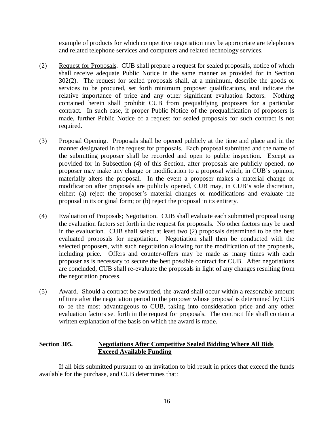example of products for which competitive negotiation may be appropriate are telephones and related telephone services and computers and related technology services.

- (2) Request for Proposals. CUB shall prepare a request for sealed proposals, notice of which shall receive adequate Public Notice in the same manner as provided for in Section 302(2). The request for sealed proposals shall, at a minimum, describe the goods or services to be procured, set forth minimum proposer qualifications, and indicate the relative importance of price and any other significant evaluation factors. Nothing contained herein shall prohibit CUB from prequalifying proposers for a particular contract. In such case, if proper Public Notice of the prequalification of proposers is made, further Public Notice of a request for sealed proposals for such contract is not required.
- (3) Proposal Opening. Proposals shall be opened publicly at the time and place and in the manner designated in the request for proposals. Each proposal submitted and the name of the submitting proposer shall be recorded and open to public inspection. Except as provided for in Subsection (4) of this Section, after proposals are publicly opened, no proposer may make any change or modification to a proposal which, in CUB's opinion, materially alters the proposal. In the event a proposer makes a material change or modification after proposals are publicly opened, CUB may, in CUB's sole discretion, either: (a) reject the proposer's material changes or modifications and evaluate the proposal in its original form; or (b) reject the proposal in its entirety.
- (4) Evaluation of Proposals; Negotiation. CUB shall evaluate each submitted proposal using the evaluation factors set forth in the request for proposals. No other factors may be used in the evaluation. CUB shall select at least two (2) proposals determined to be the best evaluated proposals for negotiation. Negotiation shall then be conducted with the selected proposers, with such negotiation allowing for the modification of the proposals, including price. Offers and counter-offers may be made as many times with each proposer as is necessary to secure the best possible contract for CUB. After negotiations are concluded, CUB shall re-evaluate the proposals in light of any changes resulting from the negotiation process.
- (5) Award. Should a contract be awarded, the award shall occur within a reasonable amount of time after the negotiation period to the proposer whose proposal is determined by CUB to be the most advantageous to CUB, taking into consideration price and any other evaluation factors set forth in the request for proposals. The contract file shall contain a written explanation of the basis on which the award is made.

# **Section 305. Negotiations After Competitive Sealed Bidding Where All Bids Exceed Available Funding**

If all bids submitted pursuant to an invitation to bid result in prices that exceed the funds available for the purchase, and CUB determines that: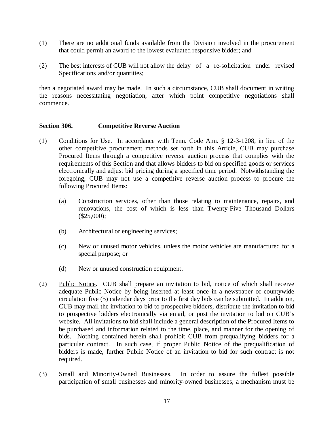- (1) There are no additional funds available from the Division involved in the procurement that could permit an award to the lowest evaluated responsive bidder; and
- (2) The best interests of CUB will not allow the delay of a re-solicitation under revised Specifications and/or quantities;

then a negotiated award may be made. In such a circumstance, CUB shall document in writing the reasons necessitating negotiation, after which point competitive negotiations shall commence.

# **Section 306. Competitive Reverse Auction**

- (1) Conditions for Use. In accordance with Tenn. Code Ann. § 12-3-1208, in lieu of the other competitive procurement methods set forth in this Article, CUB may purchase Procured Items through a competitive reverse auction process that complies with the requirements of this Section and that allows bidders to bid on specified goods or services electronically and adjust bid pricing during a specified time period. Notwithstanding the foregoing, CUB may not use a competitive reverse auction process to procure the following Procured Items:
	- (a) Construction services, other than those relating to maintenance, repairs, and renovations, the cost of which is less than Twenty-Five Thousand Dollars (\$25,000);
	- (b) Architectural or engineering services;
	- (c) New or unused motor vehicles, unless the motor vehicles are manufactured for a special purpose; or
	- (d) New or unused construction equipment.
- (2) Public Notice. CUB shall prepare an invitation to bid, notice of which shall receive adequate Public Notice by being inserted at least once in a newspaper of countywide circulation five (5) calendar days prior to the first day bids can be submitted. In addition, CUB may mail the invitation to bid to prospective bidders, distribute the invitation to bid to prospective bidders electronically via email, or post the invitation to bid on CUB's website. All invitations to bid shall include a general description of the Procured Items to be purchased and information related to the time, place, and manner for the opening of bids. Nothing contained herein shall prohibit CUB from prequalifying bidders for a particular contract. In such case, if proper Public Notice of the prequalification of bidders is made, further Public Notice of an invitation to bid for such contract is not required.
- (3) Small and Minority-Owned Businesses. In order to assure the fullest possible participation of small businesses and minority-owned businesses, a mechanism must be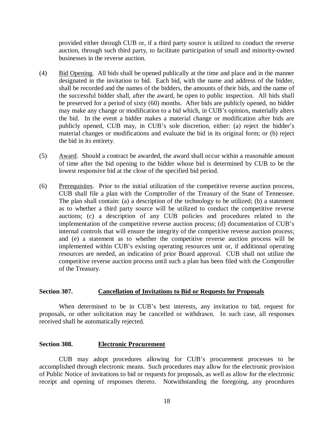provided either through CUB or, if a third party source is utilized to conduct the reverse auction, through such third party, to facilitate participation of small and minority-owned businesses in the reverse auction.

- (4) Bid Opening. All bids shall be opened publically at the time and place and in the manner designated in the invitation to bid. Each bid, with the name and address of the bidder, shall be recorded and the names of the bidders, the amounts of their bids, and the name of the successful bidder shall, after the award, be open to public inspection. All bids shall be preserved for a period of sixty (60) months. After bids are publicly opened, no bidder may make any change or modification to a bid which, in CUB's opinion, materially alters the bid. In the event a bidder makes a material change or modification after bids are publicly opened, CUB may, in CUB's sole discretion, either: (a) reject the bidder's material changes or modifications and evaluate the bid in its original form; or (b) reject the bid in its entirety.
- $(5)$  Award. Should a contract be awarded, the award shall occur within a reasonable amount of time after the bid opening to the bidder whose bid is determined by CUB to be the lowest responsive bid at the close of the specified bid period.
- (6) Prerequisites. Prior to the initial utilization of the competitive reverse auction process, CUB shall file a plan with the Comptroller of the Treasury of the State of Tennessee. The plan shall contain: (a) a description of the technology to be utilized; (b) a statement as to whether a third party source will be utilized to conduct the competitive reverse auctions; (c) a description of any CUB policies and procedures related to the implementation of the competitive reverse auction process; (d) documentation of CUB's internal controls that will ensure the integrity of the competitive reverse auction process; and (e) a statement as to whether the competitive reverse auction process will be implemented within CUB's existing operating resources unit or, if additional operating resources are needed, an indication of prior Board approval. CUB shall not utilize the competitive reverse auction process until such a plan has been filed with the Comptroller of the Treasury.

#### **Section 307. Cancellation of Invitations to Bid or Requests for Proposals**

When determined to be in CUB's best interests, any invitation to bid, request for proposals, or other solicitation may be cancelled or withdrawn. In such case, all responses received shall be automatically rejected.

#### **Section 308. Electronic Procurement**

CUB may adopt procedures allowing for CUB's procurement processes to be accomplished through electronic means. Such procedures may allow for the electronic provision of Public Notice of invitations to bid or requests for proposals, as well as allow for the electronic receipt and opening of responses thereto. Notwithstanding the foregoing, any procedures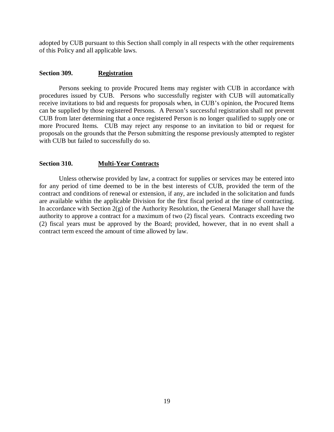adopted by CUB pursuant to this Section shall comply in all respects with the other requirements of this Policy and all applicable laws.

#### **Section 309. Registration**

Persons seeking to provide Procured Items may register with CUB in accordance with procedures issued by CUB. Persons who successfully register with CUB will automatically receive invitations to bid and requests for proposals when, in CUB's opinion, the Procured Items can be supplied by those registered Persons. A Person's successful registration shall not prevent CUB from later determining that a once registered Person is no longer qualified to supply one or more Procured Items. CUB may reject any response to an invitation to bid or request for proposals on the grounds that the Person submitting the response previously attempted to register with CUB but failed to successfully do so.

#### **Section 310. Multi-Year Contracts**

Unless otherwise provided by law, a contract for supplies or services may be entered into for any period of time deemed to be in the best interests of CUB, provided the term of the contract and conditions of renewal or extension, if any, are included in the solicitation and funds are available within the applicable Division for the first fiscal period at the time of contracting. In accordance with Section  $2(g)$  of the Authority Resolution, the General Manager shall have the authority to approve a contract for a maximum of two (2) fiscal years. Contracts exceeding two (2) fiscal years must be approved by the Board; provided, however, that in no event shall a contract term exceed the amount of time allowed by law.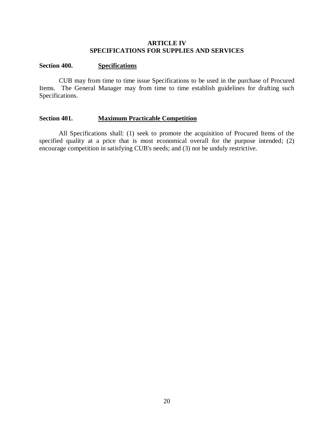#### **ARTICLE IV SPECIFICATIONS FOR SUPPLIES AND SERVICES**

#### **Section 400. Specifications**

CUB may from time to time issue Specifications to be used in the purchase of Procured Items. The General Manager may from time to time establish guidelines for drafting such Specifications.

#### **Section 401. Maximum Practicable Competition**

All Specifications shall: (1) seek to promote the acquisition of Procured Items of the specified quality at a price that is most economical overall for the purpose intended; (2) encourage competition in satisfying CUB's needs; and (3) not be unduly restrictive.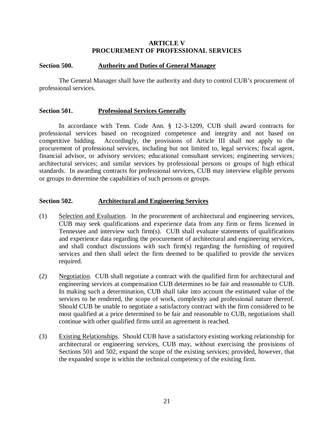#### **ARTICLE V PROCUREMENT OF PROFESSIONAL SERVICES**

#### **Section 500. Authority and Duties of General Manager**

The General Manager shall have the authority and duty to control CUB's procurement of professional services.

#### **Section 501. Professional Services Generally**

In accordance with Tenn. Code Ann. § 12-3-1209, CUB shall award contracts for professional services based on recognized competence and integrity and not based on competitive bidding. Accordingly, the provisions of Article III shall not apply to the procurement of professional services, including but not limited to, legal services; fiscal agent, financial advisor, or advisory services; educational consultant services; engineering services; architectural services; and similar services by professional persons or groups of high ethical standards. In awarding contracts for professional services, CUB may interview eligible persons or groups to determine the capabilities of such persons or groups.

#### **Section 502. Architectural and Engineering Services**

- (1) Selection and Evaluation. In the procurement of architectural and engineering services, CUB may seek qualifications and experience data from any firm or firms licensed in Tennessee and interview such firm(s). CUB shall evaluate statements of qualifications and experience data regarding the procurement of architectural and engineering services, and shall conduct discussions with such firm(s) regarding the furnishing of required services and then shall select the firm deemed to be qualified to provide the services required.
- (2) Negotiation. CUB shall negotiate a contract with the qualified firm for architectural and engineering services at compensation CUB determines to be fair and reasonable to CUB. In making such a determination, CUB shall take into account the estimated value of the services to be rendered, the scope of work, complexity and professional nature thereof. Should CUB be unable to negotiate a satisfactory contract with the firm considered to be most qualified at a price determined to be fair and reasonable to CUB, negotiations shall continue with other qualified firms until an agreement is reached.
- (3) Existing Relationships. Should CUB have a satisfactory existing working relationship for architectural or engineering services, CUB may, without exercising the provisions of Sections 501 and 502, expand the scope of the existing services; provided, however, that the expanded scope is within the technical competency of the existing firm.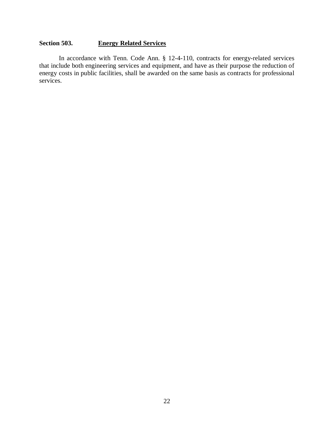# **Section 503. Energy Related Services**

In accordance with Tenn. Code Ann. § 12-4-110, contracts for energy-related services that include both engineering services and equipment, and have as their purpose the reduction of energy costs in public facilities, shall be awarded on the same basis as contracts for professional services.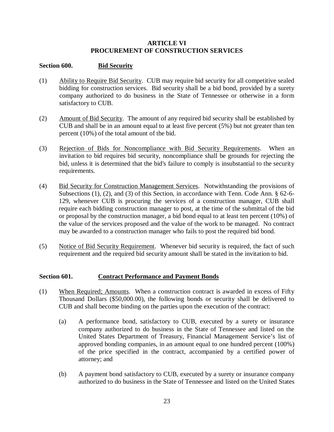# **ARTICLE VI PROCUREMENT OF CONSTRUCTION SERVICES**

# **Section 600. Bid Security**

- (1) Ability to Require Bid Security. CUB may require bid security for all competitive sealed bidding for construction services. Bid security shall be a bid bond, provided by a surety company authorized to do business in the State of Tennessee or otherwise in a form satisfactory to CUB.
- (2) Amount of Bid Security. The amount of any required bid security shall be established by CUB and shall be in an amount equal to at least five percent (5%) but not greater than ten percent (10%) of the total amount of the bid.
- (3) Rejection of Bids for Noncompliance with Bid Security Requirements. When an invitation to bid requires bid security, noncompliance shall be grounds for rejecting the bid, unless it is determined that the bid's failure to comply is insubstantial to the security requirements.
- (4) Bid Security for Construction Management Services. Notwithstanding the provisions of Subsections (1), (2), and (3) of this Section, in accordance with Tenn. Code Ann. § 62-6- 129, whenever CUB is procuring the services of a construction manager, CUB shall require each bidding construction manager to post, at the time of the submittal of the bid or proposal by the construction manager, a bid bond equal to at least ten percent (10%) of the value of the services proposed and the value of the work to be managed. No contract may be awarded to a construction manager who fails to post the required bid bond.
- (5) Notice of Bid Security Requirement. Whenever bid security is required, the fact of such requirement and the required bid security amount shall be stated in the invitation to bid.

# **Section 601. Contract Performance and Payment Bonds**

- (1) When Required; Amounts. When a construction contract is awarded in excess of Fifty Thousand Dollars (\$50,000.00), the following bonds or security shall be delivered to CUB and shall become binding on the parties upon the execution of the contract:
	- (a) A performance bond, satisfactory to CUB, executed by a surety or insurance company authorized to do business in the State of Tennessee and listed on the United States Department of Treasury, Financial Management Service's list of approved bonding companies, in an amount equal to one hundred percent (100%) of the price specified in the contract, accompanied by a certified power of attorney; and
	- (b) A payment bond satisfactory to CUB, executed by a surety or insurance company authorized to do business in the State of Tennessee and listed on the United States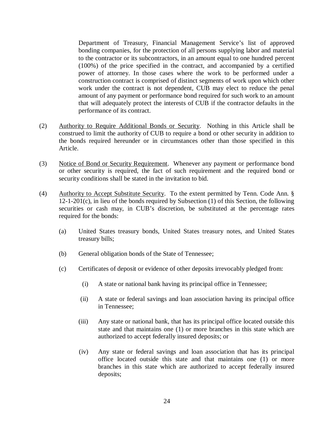Department of Treasury, Financial Management Service's list of approved bonding companies, for the protection of all persons supplying labor and material to the contractor or its subcontractors, in an amount equal to one hundred percent (100%) of the price specified in the contract, and accompanied by a certified power of attorney. In those cases where the work to be performed under a construction contract is comprised of distinct segments of work upon which other work under the contract is not dependent, CUB may elect to reduce the penal amount of any payment or performance bond required for such work to an amount that will adequately protect the interests of CUB if the contractor defaults in the performance of its contract.

- (2) Authority to Require Additional Bonds or Security. Nothing in this Article shall be construed to limit the authority of CUB to require a bond or other security in addition to the bonds required hereunder or in circumstances other than those specified in this Article.
- (3) Notice of Bond or Security Requirement. Whenever any payment or performance bond or other security is required, the fact of such requirement and the required bond or security conditions shall be stated in the invitation to bid.
- (4) Authority to Accept Substitute Security. To the extent permitted by Tenn. Code Ann. § 12-1-201(c), in lieu of the bonds required by Subsection (1) of this Section, the following securities or cash may, in CUB's discretion, be substituted at the percentage rates required for the bonds:
	- (a) United States treasury bonds, United States treasury notes, and United States treasury bills;
	- (b) General obligation bonds of the State of Tennessee;
	- (c) Certificates of deposit or evidence of other deposits irrevocably pledged from:
		- (i) A state or national bank having its principal office in Tennessee;
		- (ii) A state or federal savings and loan association having its principal office in Tennessee;
		- (iii) Any state or national bank, that has its principal office located outside this state and that maintains one (1) or more branches in this state which are authorized to accept federally insured deposits; or
		- (iv) Any state or federal savings and loan association that has its principal office located outside this state and that maintains one (1) or more branches in this state which are authorized to accept federally insured deposits;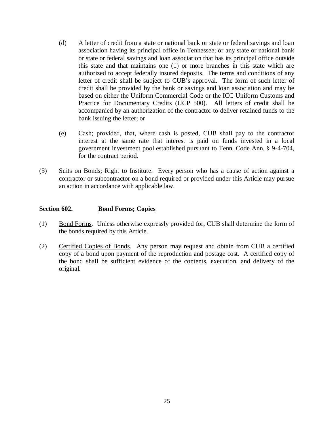- (d) A letter of credit from a state or national bank or state or federal savings and loan association having its principal office in Tennessee; or any state or national bank or state or federal savings and loan association that has its principal office outside this state and that maintains one (1) or more branches in this state which are authorized to accept federally insured deposits. The terms and conditions of any letter of credit shall be subject to CUB's approval. The form of such letter of credit shall be provided by the bank or savings and loan association and may be based on either the Uniform Commercial Code or the ICC Uniform Customs and Practice for Documentary Credits (UCP 500). All letters of credit shall be accompanied by an authorization of the contractor to deliver retained funds to the bank issuing the letter; or
- (e) Cash; provided, that, where cash is posted, CUB shall pay to the contractor interest at the same rate that interest is paid on funds invested in a local government investment pool established pursuant to Tenn. Code Ann. § 9-4-704, for the contract period.
- (5) Suits on Bonds; Right to Institute. Every person who has a cause of action against a contractor or subcontractor on a bond required or provided under this Article may pursue an action in accordance with applicable law.

# **Section 602. Bond Forms; Copies**

- (1) Bond Forms. Unless otherwise expressly provided for, CUB shall determine the form of the bonds required by this Article.
- (2) Certified Copies of Bonds. Any person may request and obtain from CUB a certified copy of a bond upon payment of the reproduction and postage cost. A certified copy of the bond shall be sufficient evidence of the contents, execution, and delivery of the original.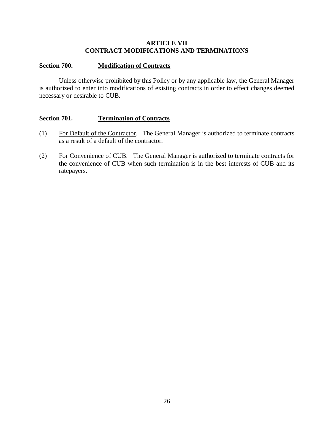# **ARTICLE VII CONTRACT MODIFICATIONS AND TERMINATIONS**

# **Section 700. Modification of Contracts**

Unless otherwise prohibited by this Policy or by any applicable law, the General Manager is authorized to enter into modifications of existing contracts in order to effect changes deemed necessary or desirable to CUB.

# **Section 701. Termination of Contracts**

- (1) For Default of the Contractor. The General Manager is authorized to terminate contracts as a result of a default of the contractor.
- (2) For Convenience of CUB. The General Manager is authorized to terminate contracts for the convenience of CUB when such termination is in the best interests of CUB and its ratepayers.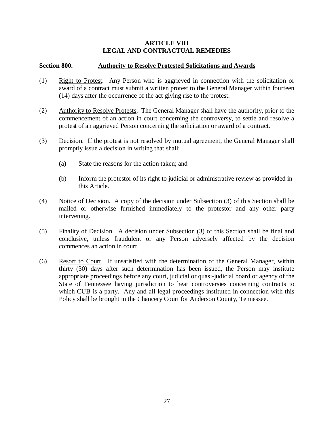# **ARTICLE VIII LEGAL AND CONTRACTUAL REMEDIES**

# **Section 800. Authority to Resolve Protested Solicitations and Awards**

- (1) Right to Protest. Any Person who is aggrieved in connection with the solicitation or award of a contract must submit a written protest to the General Manager within fourteen (14) days after the occurrence of the act giving rise to the protest.
- (2) Authority to Resolve Protests. The General Manager shall have the authority, prior to the commencement of an action in court concerning the controversy, to settle and resolve a protest of an aggrieved Person concerning the solicitation or award of a contract.
- (3) Decision. If the protest is not resolved by mutual agreement, the General Manager shall promptly issue a decision in writing that shall:
	- (a) State the reasons for the action taken; and
	- (b) Inform the protestor of its right to judicial or administrative review as provided in this Article.
- (4) Notice of Decision. A copy of the decision under Subsection (3) of this Section shall be mailed or otherwise furnished immediately to the protestor and any other party intervening.
- (5) Finality of Decision. A decision under Subsection (3) of this Section shall be final and conclusive, unless fraudulent or any Person adversely affected by the decision commences an action in court.
- (6) Resort to Court. If unsatisfied with the determination of the General Manager, within thirty (30) days after such determination has been issued, the Person may institute appropriate proceedings before any court, judicial or quasi-judicial board or agency of the State of Tennessee having jurisdiction to hear controversies concerning contracts to which CUB is a party. Any and all legal proceedings instituted in connection with this Policy shall be brought in the Chancery Court for Anderson County, Tennessee.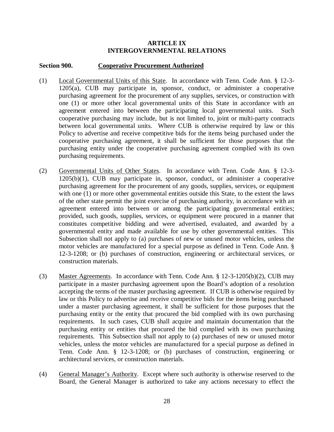# **ARTICLE IX INTERGOVERNMENTAL RELATIONS**

# **Section 900. Cooperative Procurement Authorized**

- (1) Local Governmental Units of this State. In accordance with Tenn. Code Ann. § 12-3- 1205(a), CUB may participate in, sponsor, conduct, or administer a cooperative purchasing agreement for the procurement of any supplies, services, or construction with one (1) or more other local governmental units of this State in accordance with an agreement entered into between the participating local governmental units. Such cooperative purchasing may include, but is not limited to, joint or multi-party contracts between local governmental units. Where CUB is otherwise required by law or this Policy to advertise and receive competitive bids for the items being purchased under the cooperative purchasing agreement, it shall be sufficient for those purposes that the purchasing entity under the cooperative purchasing agreement complied with its own purchasing requirements.
- (2) Governmental Units of Other States. In accordance with Tenn. Code Ann. § 12-3- 1205(b)(1), CUB may participate in, sponsor, conduct, or administer a cooperative purchasing agreement for the procurement of any goods, supplies, services, or equipment with one (1) or more other governmental entities outside this State, to the extent the laws of the other state permit the joint exercise of purchasing authority, in accordance with an agreement entered into between or among the participating governmental entities; provided, such goods, supplies, services, or equipment were procured in a manner that constitutes competitive bidding and were advertised, evaluated, and awarded by a governmental entity and made available for use by other governmental entities. This Subsection shall not apply to (a) purchases of new or unused motor vehicles, unless the motor vehicles are manufactured for a special purpose as defined in Tenn. Code Ann. § 12-3-1208; or (b) purchases of construction, engineering or architectural services, or construction materials.
- (3) Master Agreements. In accordance with Tenn. Code Ann. § 12-3-1205(b)(2), CUB may participate in a master purchasing agreement upon the Board's adoption of a resolution accepting the terms of the master purchasing agreement. If CUB is otherwise required by law or this Policy to advertise and receive competitive bids for the items being purchased under a master purchasing agreement, it shall be sufficient for those purposes that the purchasing entity or the entity that procured the bid complied with its own purchasing requirements. In such cases, CUB shall acquire and maintain documentation that the purchasing entity or entities that procured the bid complied with its own purchasing requirements. This Subsection shall not apply to (a) purchases of new or unused motor vehicles, unless the motor vehicles are manufactured for a special purpose as defined in Tenn. Code Ann. § 12-3-1208; or (b) purchases of construction, engineering or architectural services, or construction materials.
- (4) General Manager's Authority. Except where such authority is otherwise reserved to the Board, the General Manager is authorized to take any actions necessary to effect the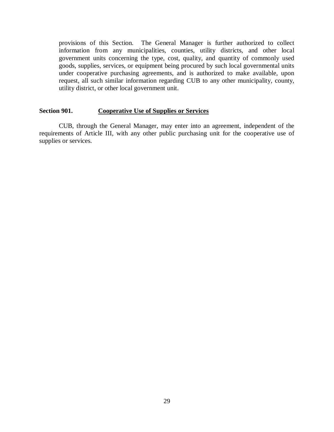provisions of this Section. The General Manager is further authorized to collect information from any municipalities, counties, utility districts, and other local government units concerning the type, cost, quality, and quantity of commonly used goods, supplies, services, or equipment being procured by such local governmental units under cooperative purchasing agreements, and is authorized to make available, upon request, all such similar information regarding CUB to any other municipality, county, utility district, or other local government unit.

#### **Section 901. Cooperative Use of Supplies or Services**

CUB, through the General Manager, may enter into an agreement, independent of the requirements of Article III, with any other public purchasing unit for the cooperative use of supplies or services.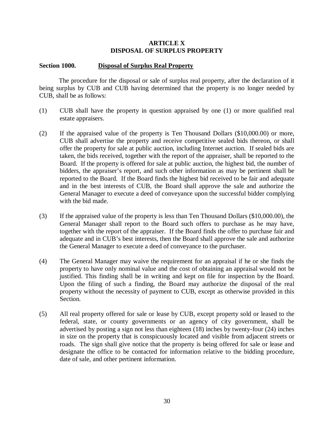# **ARTICLE X DISPOSAL OF SURPLUS PROPERTY**

#### **Section 1000. Disposal of Surplus Real Property**

The procedure for the disposal or sale of surplus real property, after the declaration of it being surplus by CUB and CUB having determined that the property is no longer needed by CUB, shall be as follows:

- (1) CUB shall have the property in question appraised by one (1) or more qualified real estate appraisers.
- (2) If the appraised value of the property is Ten Thousand Dollars (\$10,000.00) or more, CUB shall advertise the property and receive competitive sealed bids thereon, or shall offer the property for sale at public auction, including Internet auction. If sealed bids are taken, the bids received, together with the report of the appraiser, shall be reported to the Board. If the property is offered for sale at public auction, the highest bid, the number of bidders, the appraiser's report, and such other information as may be pertinent shall be reported to the Board. If the Board finds the highest bid received to be fair and adequate and in the best interests of CUB, the Board shall approve the sale and authorize the General Manager to execute a deed of conveyance upon the successful bidder complying with the bid made.
- (3) If the appraised value of the property is less than Ten Thousand Dollars (\$10,000.00), the General Manager shall report to the Board such offers to purchase as he may have, together with the report of the appraiser. If the Board finds the offer to purchase fair and adequate and in CUB's best interests, then the Board shall approve the sale and authorize the General Manager to execute a deed of conveyance to the purchaser.
- (4) The General Manager may waive the requirement for an appraisal if he or she finds the property to have only nominal value and the cost of obtaining an appraisal would not be justified. This finding shall be in writing and kept on file for inspection by the Board. Upon the filing of such a finding, the Board may authorize the disposal of the real property without the necessity of payment to CUB, except as otherwise provided in this Section.
- (5) All real property offered for sale or lease by CUB, except property sold or leased to the federal, state, or county governments or an agency of city government, shall be advertised by posting a sign not less than eighteen (18) inches by twenty-four (24) inches in size on the property that is conspicuously located and visible from adjacent streets or roads. The sign shall give notice that the property is being offered for sale or lease and designate the office to be contacted for information relative to the bidding procedure, date of sale, and other pertinent information.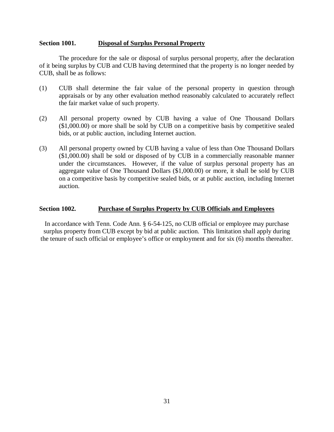#### **Section 1001. Disposal of Surplus Personal Property**

The procedure for the sale or disposal of surplus personal property, after the declaration of it being surplus by CUB and CUB having determined that the property is no longer needed by CUB, shall be as follows:

- (1) CUB shall determine the fair value of the personal property in question through appraisals or by any other evaluation method reasonably calculated to accurately reflect the fair market value of such property.
- (2) All personal property owned by CUB having a value of One Thousand Dollars (\$1,000.00) or more shall be sold by CUB on a competitive basis by competitive sealed bids, or at public auction, including Internet auction.
- (3) All personal property owned by CUB having a value of less than One Thousand Dollars (\$1,000.00) shall be sold or disposed of by CUB in a commercially reasonable manner under the circumstances. However, if the value of surplus personal property has an aggregate value of One Thousand Dollars (\$1,000.00) or more, it shall be sold by CUB on a competitive basis by competitive sealed bids, or at public auction, including Internet auction.

# **Section 1002. Purchase of Surplus Property by CUB Officials and Employees**

In accordance with Tenn. Code Ann. § 6-54-125, no CUB official or employee may purchase surplus property from CUB except by bid at public auction. This limitation shall apply during the tenure of such official or employee's office or employment and for six (6) months thereafter.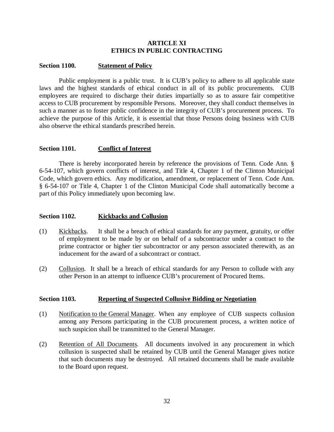# **ARTICLE XI ETHICS IN PUBLIC CONTRACTING**

#### **Section 1100. Statement of Policy**

Public employment is a public trust. It is CUB's policy to adhere to all applicable state laws and the highest standards of ethical conduct in all of its public procurements. CUB employees are required to discharge their duties impartially so as to assure fair competitive access to CUB procurement by responsible Persons. Moreover, they shall conduct themselves in such a manner as to foster public confidence in the integrity of CUB's procurement process. To achieve the purpose of this Article, it is essential that those Persons doing business with CUB also observe the ethical standards prescribed herein.

#### **Section 1101. Conflict of Interest**

There is hereby incorporated herein by reference the provisions of Tenn. Code Ann. § 6-54-107, which govern conflicts of interest, and Title 4, Chapter 1 of the Clinton Municipal Code, which govern ethics. Any modification, amendment, or replacement of Tenn. Code Ann. § 6-54-107 or Title 4, Chapter 1 of the Clinton Municipal Code shall automatically become a part of this Policy immediately upon becoming law.

#### **Section 1102. Kickbacks and Collusion**

- (1) Kickbacks. It shall be a breach of ethical standards for any payment, gratuity, or offer of employment to be made by or on behalf of a subcontractor under a contract to the prime contractor or higher tier subcontractor or any person associated therewith, as an inducement for the award of a subcontract or contract.
- (2) Collusion. It shall be a breach of ethical standards for any Person to collude with any other Person in an attempt to influence CUB's procurement of Procured Items.

#### **Section 1103. Reporting of Suspected Collusive Bidding or Negotiation**

- (1) Notification to the General Manager. When any employee of CUB suspects collusion among any Persons participating in the CUB procurement process, a written notice of such suspicion shall be transmitted to the General Manager.
- (2) Retention of All Documents. All documents involved in any procurement in which collusion is suspected shall be retained by CUB until the General Manager gives notice that such documents may be destroyed. All retained documents shall be made available to the Board upon request.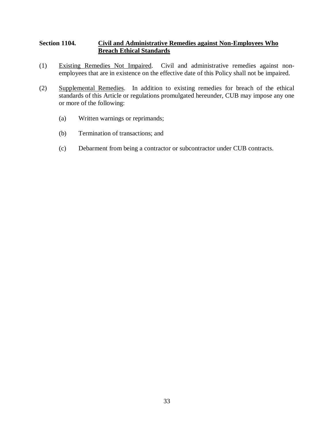# **Section 1104. Civil and Administrative Remedies against Non-Employees Who Breach Ethical Standards**

- (1) Existing Remedies Not Impaired. Civil and administrative remedies against nonemployees that are in existence on the effective date of this Policy shall not be impaired.
- (2) Supplemental Remedies. In addition to existing remedies for breach of the ethical standards of this Article or regulations promulgated hereunder, CUB may impose any one or more of the following:
	- (a) Written warnings or reprimands;
	- (b) Termination of transactions; and
	- (c) Debarment from being a contractor or subcontractor under CUB contracts.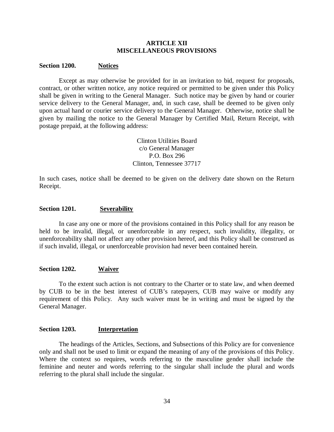#### **ARTICLE XII MISCELLANEOUS PROVISIONS**

#### **Section 1200. Notices**

Except as may otherwise be provided for in an invitation to bid, request for proposals, contract, or other written notice, any notice required or permitted to be given under this Policy shall be given in writing to the General Manager. Such notice may be given by hand or courier service delivery to the General Manager, and, in such case, shall be deemed to be given only upon actual hand or courier service delivery to the General Manager. Otherwise, notice shall be given by mailing the notice to the General Manager by Certified Mail, Return Receipt, with postage prepaid, at the following address:

> Clinton Utilities Board c/o General Manager P.O. Box 296 Clinton, Tennessee 37717

In such cases, notice shall be deemed to be given on the delivery date shown on the Return Receipt.

#### **Section 1201. Severability**

In case any one or more of the provisions contained in this Policy shall for any reason be held to be invalid, illegal, or unenforceable in any respect, such invalidity, illegality, or unenforceability shall not affect any other provision hereof, and this Policy shall be construed as if such invalid, illegal, or unenforceable provision had never been contained herein.

#### **Section 1202. Waiver**

To the extent such action is not contrary to the Charter or to state law, and when deemed by CUB to be in the best interest of CUB's ratepayers, CUB may waive or modify any requirement of this Policy. Any such waiver must be in writing and must be signed by the General Manager.

#### **Section 1203. Interpretation**

The headings of the Articles, Sections, and Subsections of this Policy are for convenience only and shall not be used to limit or expand the meaning of any of the provisions of this Policy. Where the context so requires, words referring to the masculine gender shall include the feminine and neuter and words referring to the singular shall include the plural and words referring to the plural shall include the singular.